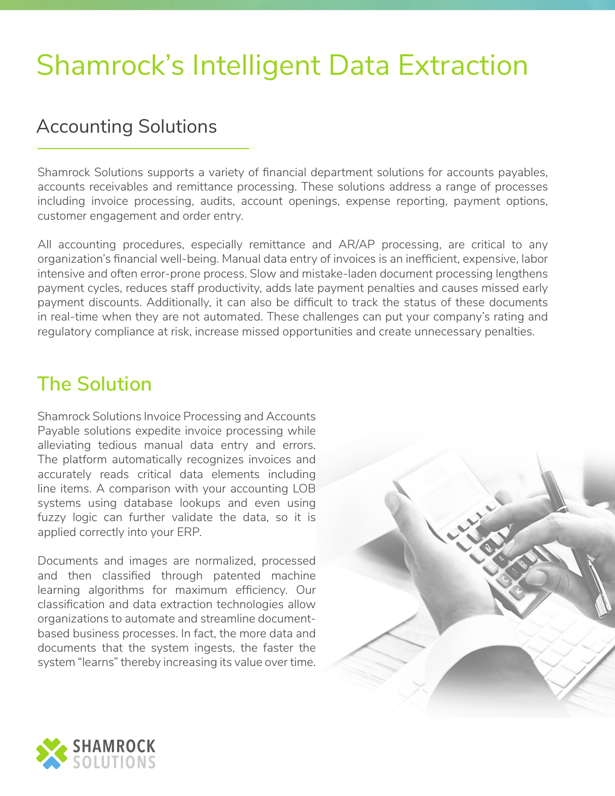## Shamrock's Intelligent Data Extraction

## Accounting Solutions

Shamrock Solutions supports a variety of financial department solutions for accounts payables, accounts receivables and remittance processing. These solutions address a range of processes including invoice processing, audits, account openings, expense reporting, payment options, customer engagement and order entry.

All accounting procedures, especially remittance and AR/AP processing, are critical to any organization's financial well-being. Manual data entry of invoices is an inefficient, expensive, labor intensive and often error-prone process. Slow and mistake-laden document processing lengthens payment cycles, reduces staff productivity, adds late payment penalties and causes missed early payment discounts. Additionally, it can also be difficult to track the status of these documents in real-time when they are not automated. These challenges can put your company's rating and regulatory compliance at risk, increase missed opportunities and create unnecessary penalties.

## **The Solution**

Shamrock Solutions Invoice Processing and Accounts Payable solutions expedite invoice processing while alleviating tedious manual data entry and errors. The platform automatically recognizes invoices and accurately reads critical data elements including line items. A comparison with your accounting LOB systems using database lookups and even using fuzzy logic can further validate the data, so it is applied correctly into your ERP.

Documents and images are normalized, processed and then classified through patented machine learning algorithms for maximum efficiency. Our classification and data extraction technologies allow organizations to automate and streamline documentbased business processes. In fact, the more data and documents that the system ingests, the faster the system "learns" thereby increasing its value over time.